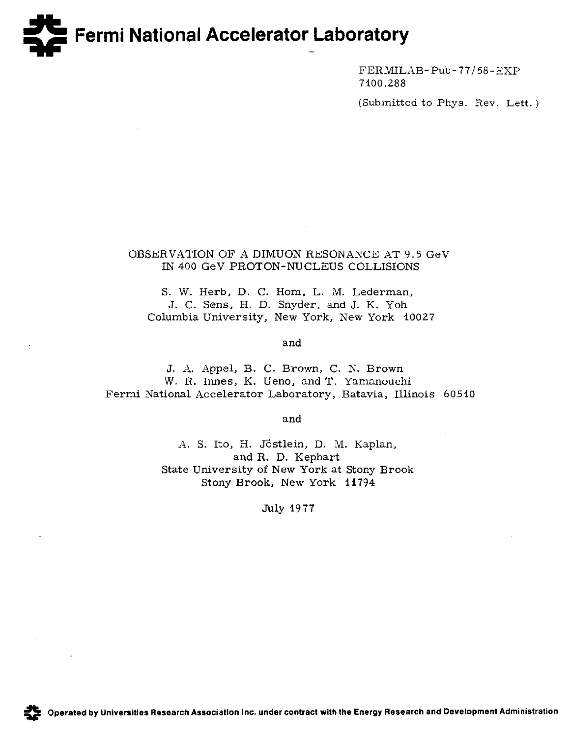# **E Germi National Accelerator Laboratory** -

FERMILAB-Pub-77/58-EXP 7100.288

(Submitted to Phys. Rev. Lett. )

## OBSERVATION OF A DIMUON RESONANCE AT 9.5 GeV IN 400 GeV PROTON-NUCLEUS COLLISIONS

S. W. Herb, D. C. Hom, L. M. Lederman, J. C. Sens, H. D. Snyder, and J. K. Yoh Columbia University, New York, New York 10027

and

J. A. Appel, B. C. Brown, C. N. Brown W. R. Innes, K. Ueno, and T. Yamanouchi Fermi National Accelerator Laboratory, Batavia, Illinois 60510

and

A. S. Ito, H. Jöstlein, D. M. Kaplan, and R. D. Kephart State University of New York at Stony Brook Stony Brook, New York 11794

July 1977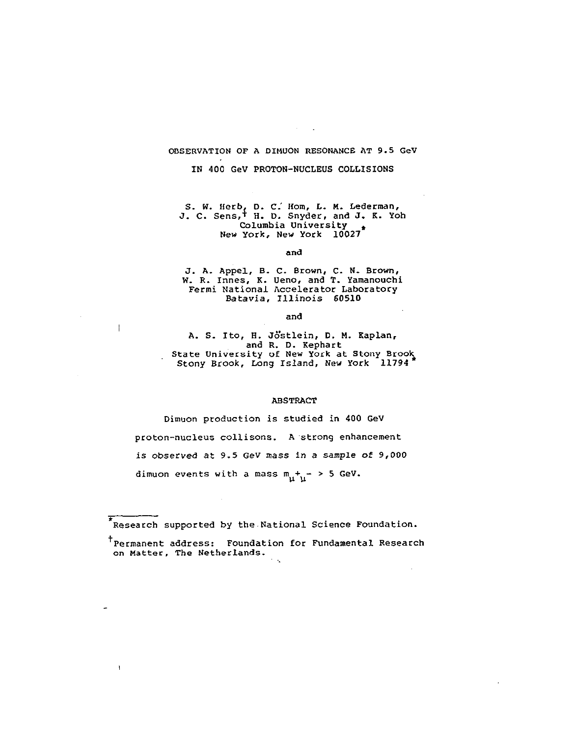## OBSERVATION OF A DIMUON RESONANCE AT 9.5 GeV

IN 400 GeV PROTON-NUCLEUS COLLISIONS

S. W. Herb, D. C. Hom, L. M. Lederman J. C. Sens, H. D. Snyder, and J. K. Yoh Columbia Univers New York, New York 10027\*

and

J. A. Appel, B. C. Brown, C. N. Brown W. R. Innes, K. Ueno, and T. Yamanouch Fermi National Accelerator Laborato Batavia, Illinois 60510

and

 $\overline{\phantom{a}}$ 

 $\mathbf{I}$ 

A. S. Ito, H. Jostlein, D. M. Kaplan, and R. D. Kephart State University of New York at Stony Br Stony Brook, Long Island, New York

#### ABSTRACT

Dimuon production is studied in 400 GeV proton-nucleus collisons. A'strong enhancement is observed at 9.5 GeV mass in a sample of 9,000 dimuon events with a mass  $m_{\tilde{H}} + \tilde{L} > 5$  GeV.

Research supported by the National Science Foundation.

t Permanent address: Foundation for Fundamental Research on Matter, The Netherlands.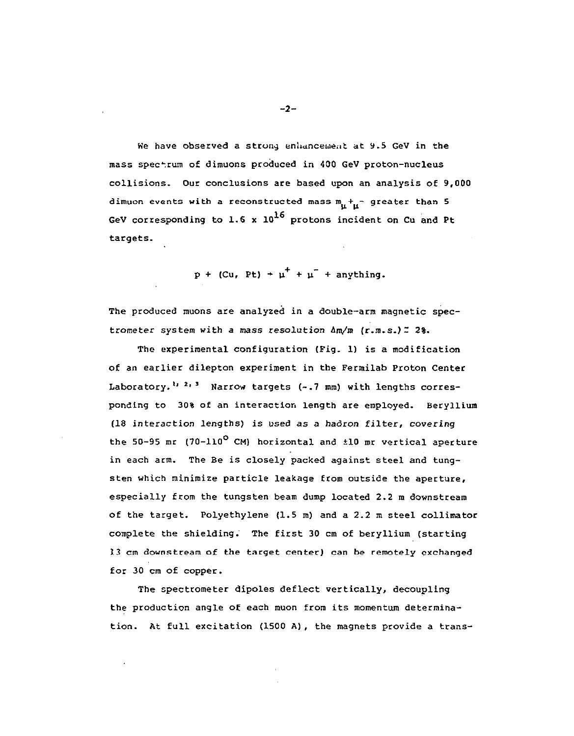We have observed a strong enhancement at 9.5 GeV in the mass spectrum of dimuons produced in 400 GeV proton-nucleus collisions. Our conclusions are based upon an analysis of 9,000 dimuon events with a reconstructed mass  $m_{\text{t}} +_{\text{t}}$  greater than 5 GeV corresponding to 1.6 x  $10^{16}$  protons incident on Cu and Pt targets.

 $p + (Cu, Pt) + \mu^{+} + \mu^{-} +$  anything.

The produced muons are analyzed in a double-arm magnetic spectrometer system with a mass resolution  $\Delta m/m$  (r.m.s.)  $z$  2%.

The experimental configuration (Fig. 1) is a modification of an earlier dilepton experiment in the Fermilab Proton Center Laboratory.<sup>1, 2, 3</sup> Narrow targets (-.7 mm) with lengths corresponding to 30% of an interaction length are employed. Beryllium (18 interaction lengths) is used as a hadron filter, covering the 50-95 mr  $(70-110^{\circ}$  CM) horizontal and  $\pm 10$  mr vertical aperture in each arm. The Be is closely packed against steel and tungsten which minimize particle leakage from outside the aperture, especially from the tungsten beam dump located 2.2 m downstream of the target. Polyethylene (1.5 m) and a 2.2 m steel collimator complete the shielding: The first 30 cm of beryllium (starting 13 cm downstream of the target center) can be remotely exchanged for 30 cm of copper.

The spectrometer dipoles deflect vertically, decoupling the production angle of each muon from its momentum determination. At full excitation (1500 A), the magnets provide a trans-

 $-2-$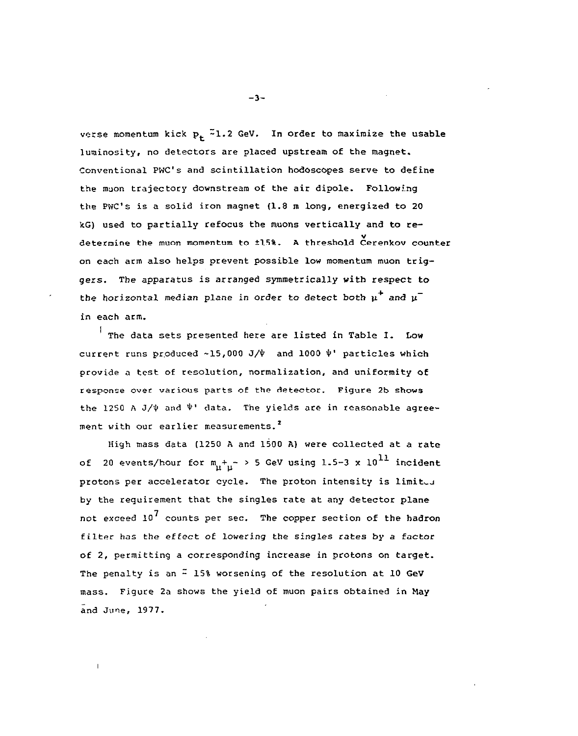verse momentum kick  $p_+$ <sup>2</sup>1.2 GeV. In order to maximize the usable luminosity, no detectors are placed upstream of the magnet. Conventional PWC's and scintillation hodoscopes serve to define the muon trajectory downstream of the air dipole. Following the PWC's is a solid iron magnet (1.8 m long, energized to 20 kG) used to partially refocus the muons vertically and to redetermine the muon momentum to 115%. A threshold Cerenkov counter on each arm also helps prevent possible low momentum muon triggers. The apparatus is arranged symmetrically with respect to the horizontal median plane in order to detect both  $\mu^+$  and  $\mu^$ in each arm.

 $\frac{1}{1}$  The data sets presented here are listed in Table I. Low current runs produced ~15,000 J/ $\psi$  and 1000  $\psi$ <sup>'</sup> particles which provide a test of resolution, normalization, and uniformity of response over various parts of the detector. Figure 2b shows the 1250 A J/ $\psi$  and  $\Psi'$  data. The yields are in reasonable agreement with our earlier measurements.<sup>2</sup>

High mass data (1250 A and 1500 A) were collected at a rate of 20 events/hour for  $m_{\tilde{u}}+_{\tilde{u}}$  > 5 GeV using 1.5-3 x  $10^{11}$  incident protons per accelerator cycle. The proton intensity is limited by the requirement that the singles rate at any detector plane not exceed  $10^7$  counts per sec. The copper section of the hadron filter has the effect of lowering the singles rates by a factor of 2, permitting a corresponding increase in protons on target. The penalty is an  $\frac{\pi}{4}$  15% worsening of the resolution at 10 GeV mass. Figure 2a shows the yield of muon pairs obtained in May and June, 1977.

 $\mathbf{I}$ 

 $-3-$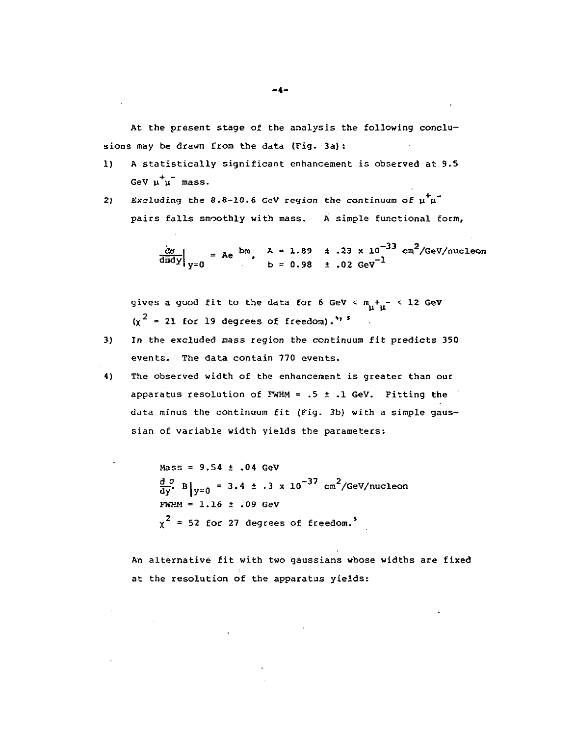At the present stage of the analysis the following conclusions may be drawn from the data (Fig. 3a):

- 1) A statistically significant enhancement is observed at 9.5 GeV  $u^+u^-$  mass.
- 2) Excluding the 8.8-10.6 GeV region the continuum of  $\mu^+ \mu^$ pairs falls smoothly with mass. A simple functional form,

 $\frac{d\sigma}{d\pi d\nu}$  = Ae<sup>-bm</sup>, A = 1.89  $\pm$  .23 x 10<sup>-33</sup> cm<sup>2</sup>/GeV/nucle  $b = 0.98 + 0.02$  GeV<sup>-1</sup>

gives a good fit to the data for 6 GeV <  $m_{\mu} +_{\mu} -$  < 12 GeV  $(\chi^2 = 21$  for 19 degrees of freedom).<sup>495</sup>

- 3) In the excluded mass region the continuum fit predicts 350 events. The data contain 770 events.
- 4) The observed width of the enhancement is greater than our apparatus resolution of FWHM = .5  $\pm$  .1 GeV. Fitting the data minus the continuum fit (Fig. 3b) with a simple gaussian of variable width yields the parameters:

 $Mass = 9.54 \pm .04$  GeV  $\frac{d}{dy}$ . B  $\left| y=0 \right| = 3.4 \pm .3 \times 10^{-37} \text{ cm}^2/\text{GeV/nucleon}$  $FWHM = 1.16 \pm .09$  GeV  $\chi^2$  = 52 for 27 degrees of freedom.<sup>5</sup>

An alternative fit with two gaussians whose widths are fixed at the resolution of the apparatus yields: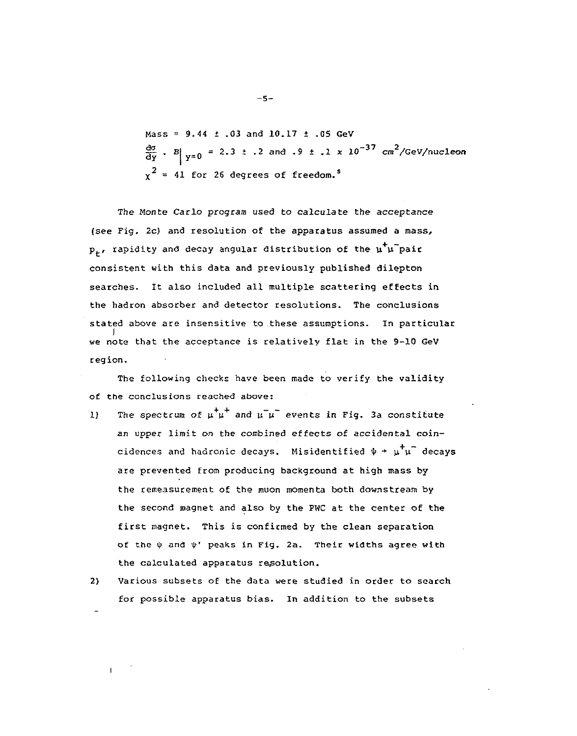Mass =  $9.44 \pm .03$  and  $10.17 \pm .05$  GeV  $\frac{d\sigma}{dy}$  . B|  $y=0$  = 2.3 t . 2 and . 9 t . 1 x 10<sup>-37</sup> cm<sup>2</sup>/GeV/nucleon  $\chi^2$  = 41 for 26 degrees of freedom.<sup>5</sup>

The Monte Carlo program used to calculate the acceptance (see Fig. 2c) and resolution of the apparatus assumed a mass,  $p_t$ , rapidity and decay angular distribution of the  $\mu^+ \mu^-$ pair consistent with this data and previously published dilepton searches. It also included all multiple scattering effects in the hadron absorber and detector resolutions. The conclusions stated above are insensitive to these assumptions. In particu I we note that the acceptance is relatively flat in the 9-10 GeV region.

The following checks have been made to verify the validity of the conclusions reached above:

- 1) The spectrum of  $\mu^+ \mu^-$  and  $\mu^- \mu^-$  events in Fig. 3a constitute an upper limit on the combined effects of accidental coincidences and hadronic decays. Misidentified  $\psi + \mu^+ \mu^-$  decays are prevented from producing background at high mass by the remeasurement of the muon momenta both downstream by the second magnet and also by the PWC at the center of the first magnet. This is confirmed by the clean separation of the  $\psi$  and  $\psi$ ' peaks in Fig. 2a. Their widths agree with the calculated apparatus resolution.
- 2) Various subsets of the data were studied in order to search for possible apparatus bias. In addition to the subsets

-5-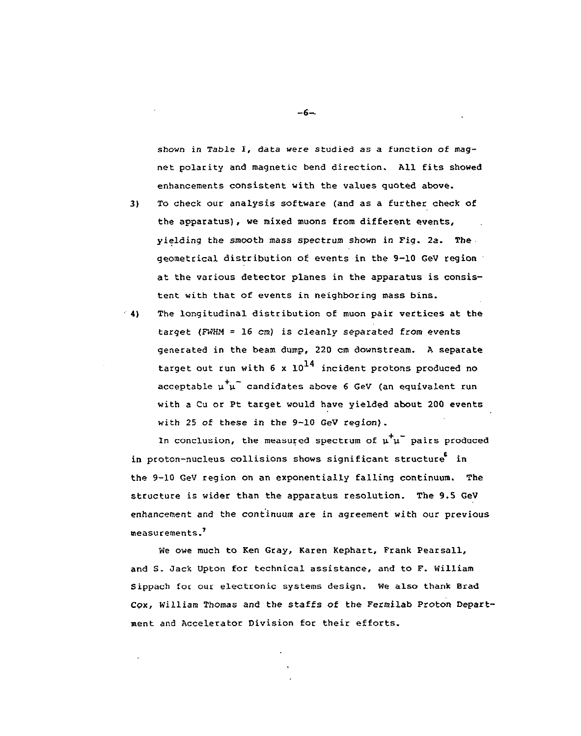shown in Table I, data were studied as a function of magnet polarity and magnetic bend direction. All fits showed enhancements consistent with the values quoted above.

- 3) To check our analysis software (and as a further check of the apparatus), we mixed muons from different events, yielding the smooth mass spectrum shown in Fig. 2a. The, geometrical distribution of events in the 9-10 GeV region at the various detector planes in the apparatus is consistent with that of events in neighboring mass bins.
- " 4) The longitudinal distribution of muon pair vertices at the target (FWHM = 16 cm) is cleanly separated from events generated in the beam dump, 220 cm downstream. A separate target out run with 6 x  $10^{14}$  incident protons produced no acceptable  $\mu^{\dagger}\mu^{-}$  candidates above 6 GeV (an equivalent run with a Cu or Pt target would have yielded about 200 events with 25 of these in the 9-10 GeV region).

In conclusion, the measured spectrum of  $\mu^{\dagger} \mu^{-}$  pairs produced in proton-nucleus collisions shows significant structure in the 9-10 GeV region on an exponentially falling continuum. The structure is wider than the apparatus resolution. The 9.S GeV enhancement and the continuum are in agreement with our previous measurements.'

We owe much to Ken Gray, Karen Kephart, Frank Pearsall, and S. Jack Upton for technical assistance, and to F. William Sippach for our electronic systems design. We also thank Brad Cox, William Thomas and the staffs of the Fermilab Proton Department and Accelerator Division for their efforts.

 $-6-$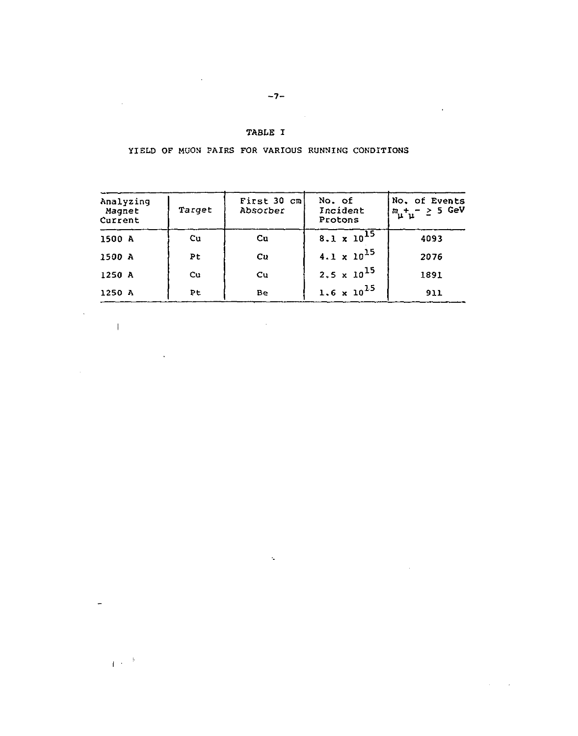### TABLE I

YIELD OF MUON PAIRS FOR VARIOUS RUNNING CONDITIONS

| Analyzing<br>Magnet<br>Current | Target | First 30 cm<br>Absorber | No. of<br>Incident<br>Protons | No. of Events<br>$m_\mu + _\mu - \geq 5$ GeV |
|--------------------------------|--------|-------------------------|-------------------------------|----------------------------------------------|
| 1500 A                         | $u$    | $cu$                    | $8.1 \times 10^{15}$          | 4093                                         |
| 1500 A                         | Pt     | cu                      | $4.1 \times 10^{15}$          | 2076                                         |
| 1250 A                         | Cu     | $\mathbf{C}\mathbf{u}$  | $2.5 \times 10^{15}$          | 1891                                         |
| 1250 A                         | Þt     | Be                      | $1.6 \times 10^{15}$          | 911                                          |

 $\sim 10$ 

 $\mathcal{L}^{\mathcal{L}}$ 

 $\sim 10$ 

 $\mathbf{E}^{(1)}$  ,  $\mathbf{h}^{(0)}$ 

 $\mathcal{A}^{\mathcal{A}}$ 

 $\sim$ 

 $\sim 10^{-1}$ 

 $\ddot{\phantom{a}}$ 

 $\sim$ 

**Contractor** 

 $\sim 10^7$ 

 $\sim 10^{11}$ 

 $-7-$ 

 $\sim 10^6$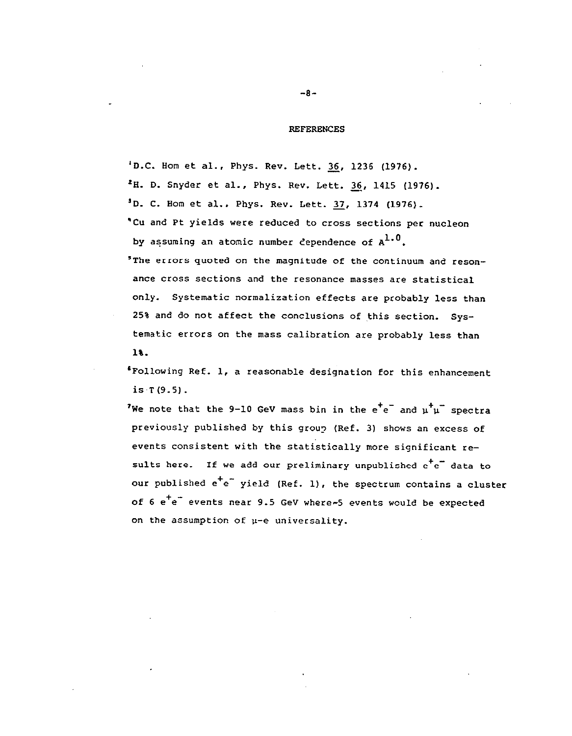#### REFERENCES

'D.C. Hom et al., Phys. Rev. Lett. 36, 1236 (1976).  $2H.$  D. Snyder et al., Phys. Rev. Lett. 36, 1415 (1976). 'D. C. Hom et al., Phys. Rev. Lett. 37, 1374 (1976). 'Cu and Pt yields were reduced to cross sections per nucleon by assuming an atomic number dependence of  $A^{1,0}$ . 'The errors quoted on the magnitude of the continuum and resonance cross sections and the resonance masses are statistical only. Systematic normalization effects are probably less than 25% and do not affect the conclusions of this section. systematic errors on the mass calibration are probably less than 1%.

'Following Ref. 1, a reasonable designation for this enhancement is  $T(9.5)$ .

'We note that the 9-10 GeV mass bin in the  $e^+e^-$  and  $u^+u^-$  spectra previously published by this group (Ref. 3) shows an excess of events consistent with the statistically more significant results here. If we add our preliminary unpublished  $e^+e^-$  data to our published  $e^+e^-$  yield (Ref. 1), the spectrum contains a cluster of 6 e<sup>+</sup>e<sup>-</sup> events near 9.5 GeV where-5 events would be expected on the assumption of  $\mu$ -e universality.

-8-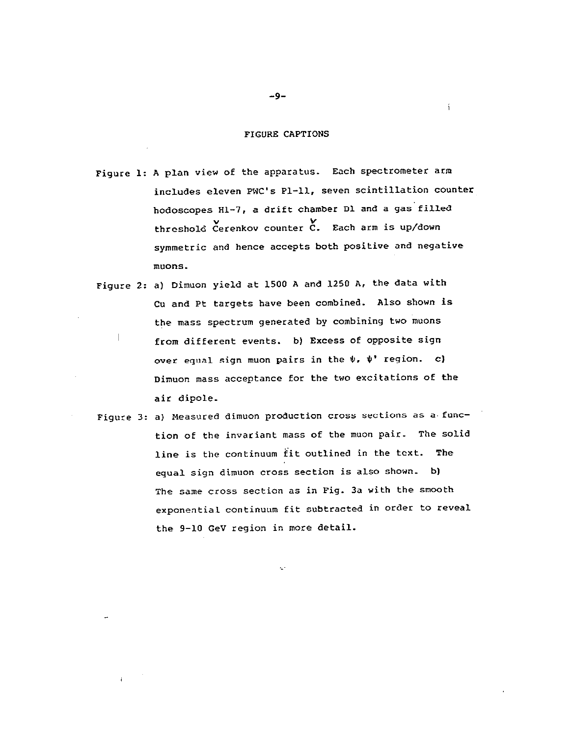#### FIGURE CAPTIONS

 $\mathbf{i}$ 

Figure 1: A plan view of the apparatus. Each spectrometer arm includes eleven PWC's Pl-11, seven scintillation counter hodoscopes Hl-7, a drift chamber Dl and a gas'filled threshold Cerenkov counter C. Each arm is up/down symmetric and hence accepts both positive and negative  $m$ uons.

- Figure 2: a) Dimuon yield at 1500 A and 1250 A, the data with Cu and Pt targets have been combined. Also shown is the mass spectrum generated by combining two muons  $\frac{1}{1}$  from different events. b) Excess of opposite sign over equal sign muon pairs in the  $\psi$ ,  $\psi'$  region. c) Dimuon mass acceptance for the two excitations of the air dipole.
- Figure 3: a) Measured dimuon production cross sections as a.function of the invariant mass of the muon pair. The solid line is the continuum fit outlined in the text. The equal sign dimuon cross section is also shown. b) The same cross section as in Fig. 3a with the smooth exponential continuum fit subtracted in order to reveal the 9-10 GeV region in more detail.

-9-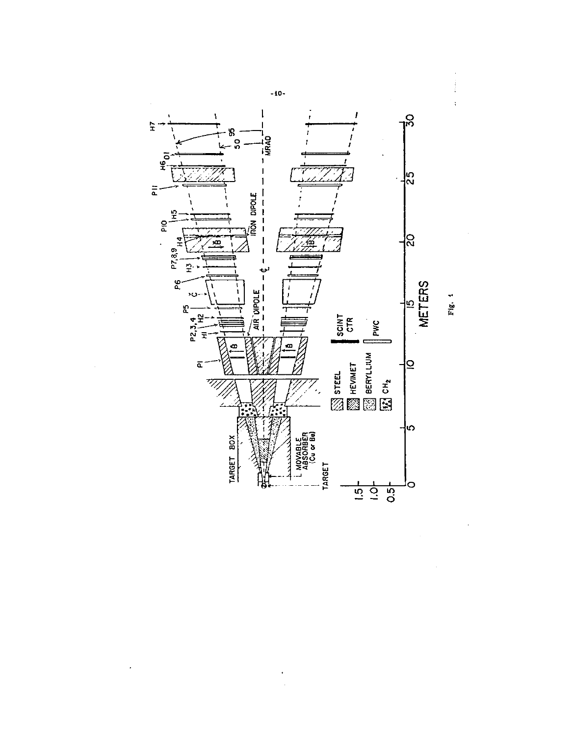

 $-10-$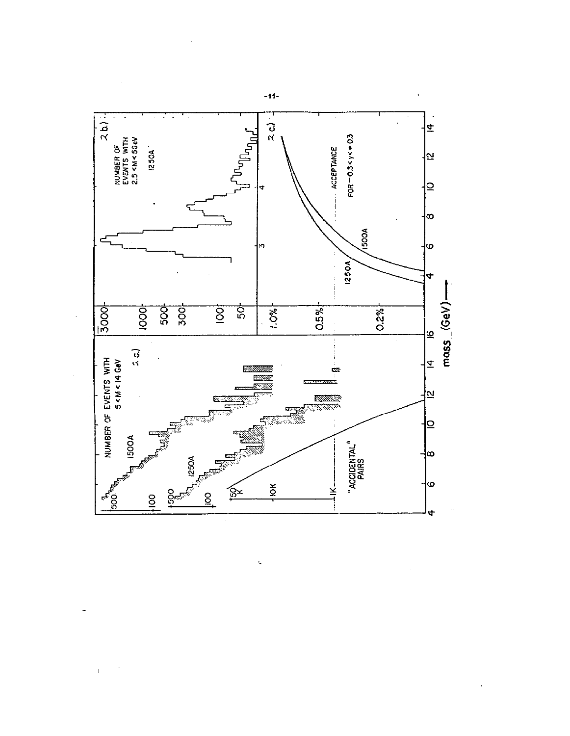

ţ,

 $\ddot{\phi}$ 

 $\bar{\rm t}$ 

 $-11-$ 

 $\hat{\mathbf{q}}$